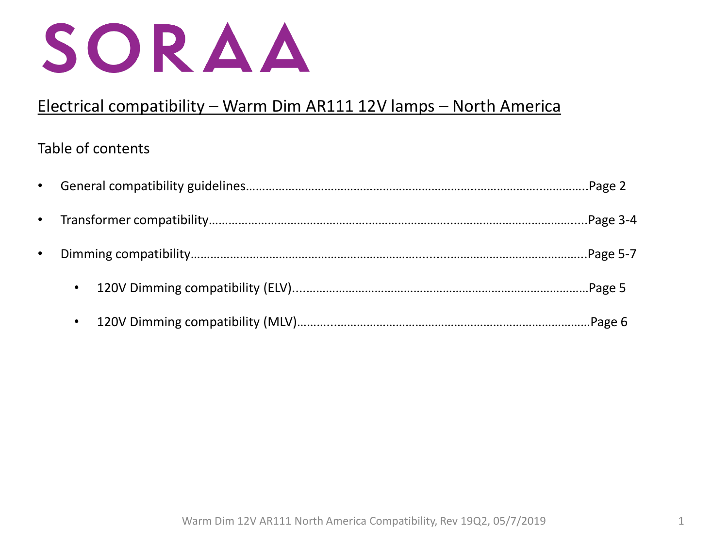

# Electrical compatibility – Warm Dim AR111 12V lamps – North America

## Table of contents

| $\bullet$ |           |  |
|-----------|-----------|--|
|           |           |  |
|           | $\bullet$ |  |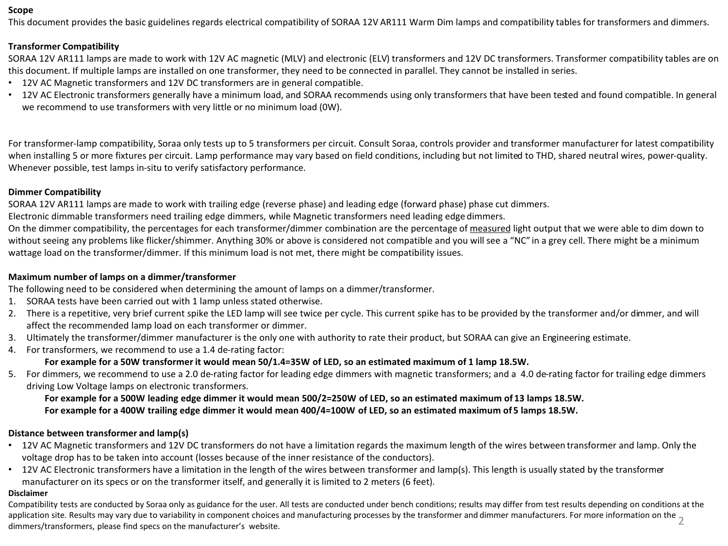### **Scope**

This document provides the basic guidelines regards electrical compatibility of SORAA 12V AR111 Warm Dim lamps and compatibility tables for transformers and dimmers.

### **Transformer Compatibility**

SORAA 12V AR111 lamps are made to work with 12V AC magnetic (MLV) and electronic (ELV) transformers and 12V DC transformers. Transformer compatibility tables are on this document. If multiple lamps are installed on one transformer, they need to be connected in parallel. They cannot be installed in series.

- 12V AC Magnetic transformers and 12V DC transformers are in general compatible.
- 12V AC Electronic transformers generally have a minimum load, and SORAA recommends using only transformers that have been tested and found compatible. In general we recommend to use transformers with very little or no minimum load (0W).

For transformer-lamp compatibility, Soraa only tests up to 5 transformers per circuit. Consult Soraa, controls provider and transformer manufacturer for latest compatibility when installing 5 or more fixtures per circuit. Lamp performance may vary based on field conditions, including but not limited to THD, shared neutral wires, power-quality. Whenever possible, test lamps in-situ to verify satisfactory performance.

### **Dimmer Compatibility**

SORAA 12V AR111 lamps are made to work with trailing edge (reverse phase) and leading edge (forward phase) phase cut dimmers.

Electronic dimmable transformers need trailing edge dimmers, while Magnetic transformers need leading edge dimmers.

On the dimmer compatibility, the percentages for each transformer/dimmer combination are the percentage of measured light output that we were able to dim down to without seeing any problems like flicker/shimmer. Anything 30% or above is considered not compatible and you will see a "NC" in a grey cell. There might be a minimum wattage load on the transformer/dimmer. If this minimum load is not met, there might be compatibility issues.

### **Maximum number of lamps on a dimmer/transformer**

The following need to be considered when determining the amount of lamps on a dimmer/transformer.

- 1. SORAA tests have been carried out with 1 lamp unless stated otherwise.
- 2. There is a repetitive, very brief current spike the LED lamp will see twice per cycle. This current spike has to be provided by the transformer and/or dimmer, and will affect the recommended lamp load on each transformer or dimmer.
- 3. Ultimately the transformer/dimmer manufacturer is the only one with authority to rate their product, but SORAA can give an Engineering estimate.
- 4. For transformers, we recommend to use a 1.4 de-rating factor:

### **For example for a 50W transformer it would mean 50/1.4=35W of LED, so an estimated maximum of 1 lamp 18.5W.**

5. For dimmers, we recommend to use a 2.0 de-rating factor for leading edge dimmers with magnetic transformers; and a 4.0 de-rating factor for trailing edge dimmers driving Low Voltage lamps on electronic transformers.

**For example for a 500W leading edge dimmer it would mean 500/2=250W of LED, so an estimated maximum of 13 lamps 18.5W. For example for a 400W trailing edge dimmer it would mean 400/4=100W of LED, so an estimated maximum of 5 lamps 18.5W.** 

### **Distance between transformer and lamp(s)**

- 12V AC Magnetic transformers and 12V DC transformers do not have a limitation regards the maximum length of the wires between transformer and lamp. Only the voltage drop has to be taken into account (losses because of the inner resistance of the conductors).
- 12V AC Electronic transformers have a limitation in the length of the wires between transformer and lamp(s). This length is usually stated by the transformer manufacturer on its specs or on the transformer itself, and generally it is limited to 2 meters (6 feet).

### **Disclaimer**

application site. Results may vary due to variability in component choices and manufacturing processes by the transformer and dimmer manufacturers. For more information on the 2<br>dimmers/transformers, please find specs on t Compatibility tests are conducted by Soraa only as guidance for the user. All tests are conducted under bench conditions; results may differ from test results depending on conditions at the dimmers/transformers, please find specs on the manufacturer's website.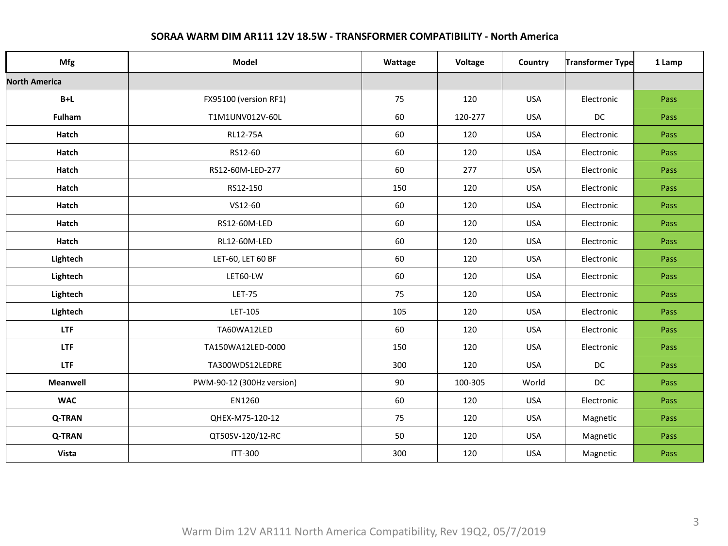| Mfg                  | <b>Model</b>              |     | Voltage           | Country    | Transformer Type | 1 Lamp |
|----------------------|---------------------------|-----|-------------------|------------|------------------|--------|
| <b>North America</b> |                           |     |                   |            |                  |        |
| $B+L$                | FX95100 (version RF1)     | 75  | 120               | <b>USA</b> | Electronic       | Pass   |
| Fulham               | T1M1UNV012V-60L           | 60  | 120-277           | <b>USA</b> | DC               | Pass   |
| Hatch                | <b>RL12-75A</b>           |     | 120               | <b>USA</b> | Electronic       | Pass   |
| Hatch                | RS12-60                   |     | 120               | <b>USA</b> | Electronic       | Pass   |
| Hatch                | RS12-60M-LED-277          |     | 277               | <b>USA</b> | Electronic       | Pass   |
| Hatch                | RS12-150                  |     | 120               | <b>USA</b> | Electronic       | Pass   |
| Hatch                | VS12-60                   |     | 120               | <b>USA</b> | Electronic       | Pass   |
| Hatch                | RS12-60M-LED              | 60  | 120               | <b>USA</b> | Electronic       | Pass   |
| Hatch                | RL12-60M-LED              | 60  | 120               | <b>USA</b> | Electronic       | Pass   |
| Lightech             | LET-60, LET 60 BF         | 60  | 120               | <b>USA</b> | Electronic       | Pass   |
| Lightech             | LET60-LW                  | 60  | 120               | <b>USA</b> | Electronic       | Pass   |
| Lightech             | <b>LET-75</b>             | 75  | 120               | <b>USA</b> | Electronic       | Pass   |
| Lightech             | LET-105                   |     | 120               | <b>USA</b> | Electronic       | Pass   |
| <b>LTF</b>           | TA60WA12LED               |     | 120               | <b>USA</b> | Electronic       | Pass   |
| LTF                  | TA150WA12LED-0000         | 150 | 120<br><b>USA</b> |            | Electronic       | Pass   |
| <b>LTF</b>           | TA300WDS12LEDRE           | 300 | 120               | <b>USA</b> | DC               | Pass   |
| Meanwell             | PWM-90-12 (300Hz version) |     | 100-305           | World      | DC               | Pass   |
| <b>WAC</b>           | EN1260                    | 60  | 120               | <b>USA</b> | Electronic       | Pass   |
| <b>Q-TRAN</b>        | QHEX-M75-120-12           |     | 120               | <b>USA</b> | Magnetic         | Pass   |
| <b>Q-TRAN</b>        | QT50SV-120/12-RC          | 50  | 120               | <b>USA</b> | Magnetic         | Pass   |
| Vista                | <b>ITT-300</b>            |     | 120               | <b>USA</b> | Magnetic         | Pass   |

## **SORAA WARM DIM AR111 12V 18.5W - TRANSFORMER COMPATIBILITY - North America**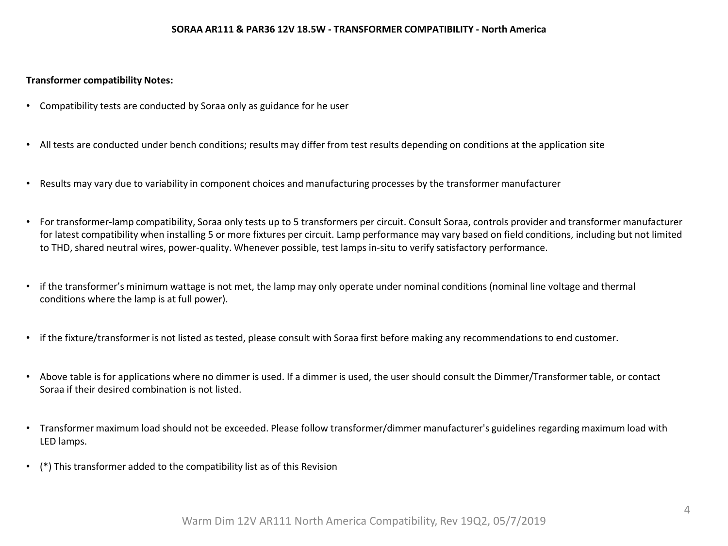#### **SORAA AR111 & PAR36 12V 18.5W - TRANSFORMER COMPATIBILITY - North America**

### **Transformer compatibility Notes:**

- Compatibility tests are conducted by Soraa only as guidance for he user
- All tests are conducted under bench conditions; results may differ from test results depending on conditions at the application site
- Results may vary due to variability in component choices and manufacturing processes by the transformer manufacturer
- For transformer-lamp compatibility, Soraa only tests up to 5 transformers per circuit. Consult Soraa, controls provider and transformer manufacturer for latest compatibility when installing 5 or more fixtures per circuit. Lamp performance may vary based on field conditions, including but not limited to THD, shared neutral wires, power-quality. Whenever possible, test lamps in-situ to verify satisfactory performance.
- if the transformer's minimum wattage is not met, the lamp may only operate under nominal conditions (nominal line voltage and thermal conditions where the lamp is at full power).
- if the fixture/transformer is not listed as tested, please consult with Soraa first before making any recommendations to end customer.
- Above table is for applications where no dimmer is used. If a dimmer is used, the user should consult the Dimmer/Transformer table, or contact Soraa if their desired combination is not listed.
- Transformer maximum load should not be exceeded. Please follow transformer/dimmer manufacturer's guidelines regarding maximum load with [LED lamps.](https://res.cloudinary.com/soraa/raw/upload/v1452276139/content/max-lamp-load-calculator.xlsx)
- (\*) This transformer added to the compatibility list as of this Revision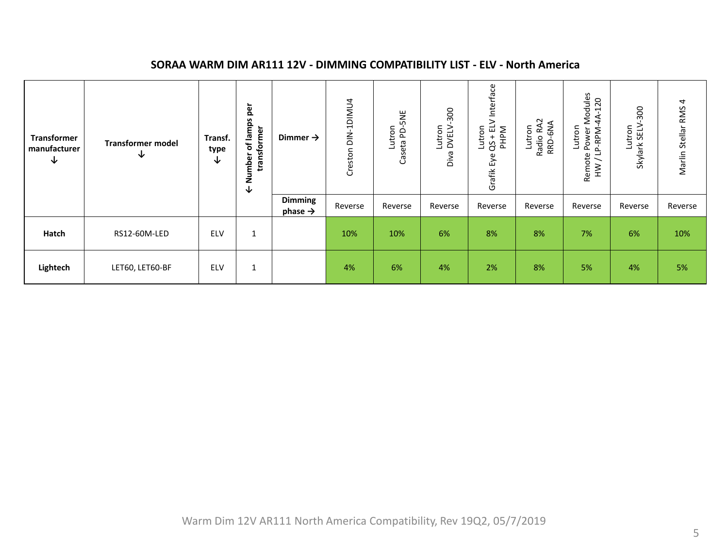#### Grafik Eye QS + ELV Interface Lutron<br>Remote Power Modules<br>HW / LP-RPM-4A-120 Remote Power Modules Creston DIN-1DIMU4 Creston DIN-1DIMU4 Marlin Stellar RMS 4 HW / LP-RPM-4A-120 Marlin Stellar RMS 4 Lutron<br>Skylark SELV-300 **← Number of lamps per**  Lutron<br>Diva DVELV-300 ← Number of lamps per Lutron<br>Caseta PD-5NE Skylark SELV-300 Caseta PD-5NE Diva DVELV-300 Lutron Radio RA2 RRD-6NA transformer **transformer**  Lutron<br>25 + EL'<br>PHP M **Transformer Dimmer → Transf. Transformer model manufacturer type ↓ ↓ ↓ Dimming**<br>*phase* → **phase →** Reverse Reverse Reverse Reverse Reverse Reverse Reverse Reverse Reverse **Hatch |** RS12-60M-LED | ELV | 1 | | 10% | 10% | 6% | 8% | 8% | 7% | 6% | 10% **Lightech |** LET60, LET60-BF | ELV | 1 | 4% | 6% | 4% | 2% | 8% | 5% | 4% | 5%

### **SORAA WARM DIM AR111 12V - DIMMING COMPATIBILITY LIST - ELV - North America**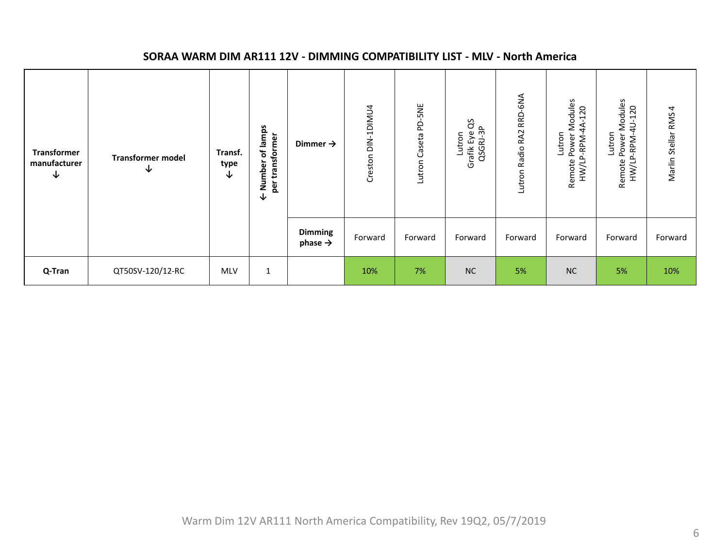| <b>Transformer</b><br>manufacturer<br>↓ | <b>Transformer model</b><br>↓ | Transf.<br>type<br>∿ | of lamps<br>transformer<br>Number<br>per<br>V | Dimmer $\rightarrow$                  | Creston DIN-1DIMU4 | Lutron Caseta PD-5NE | ő<br>QSGRJ-3P<br>Grafik Eye<br>Lutron | RRD-6NA<br>Radio RA2<br>Lutron | Modules<br>120<br>4<br>Lutron<br>Power<br>-RPM-<br>HW/LP.<br>Remote | Modules<br>120<br>$\Rightarrow$<br>Lutron<br>Power<br>-RPM-<br>HW/LP<br>Remote | 4<br>Marlin Stellar RMS |
|-----------------------------------------|-------------------------------|----------------------|-----------------------------------------------|---------------------------------------|--------------------|----------------------|---------------------------------------|--------------------------------|---------------------------------------------------------------------|--------------------------------------------------------------------------------|-------------------------|
|                                         |                               |                      |                                               | <b>Dimming</b><br>phase $\rightarrow$ | Forward            | Forward              | Forward                               | Forward                        | Forward                                                             | Forward                                                                        | Forward                 |
| Q-Tran                                  | QT50SV-120/12-RC              | <b>MLV</b>           | 1                                             |                                       | 10%                | 7%                   | <b>NC</b>                             | 5%                             | <b>NC</b>                                                           | 5%                                                                             | 10%                     |

### **SORAA WARM DIM AR111 12V - DIMMING COMPATIBILITY LIST - MLV - North America**